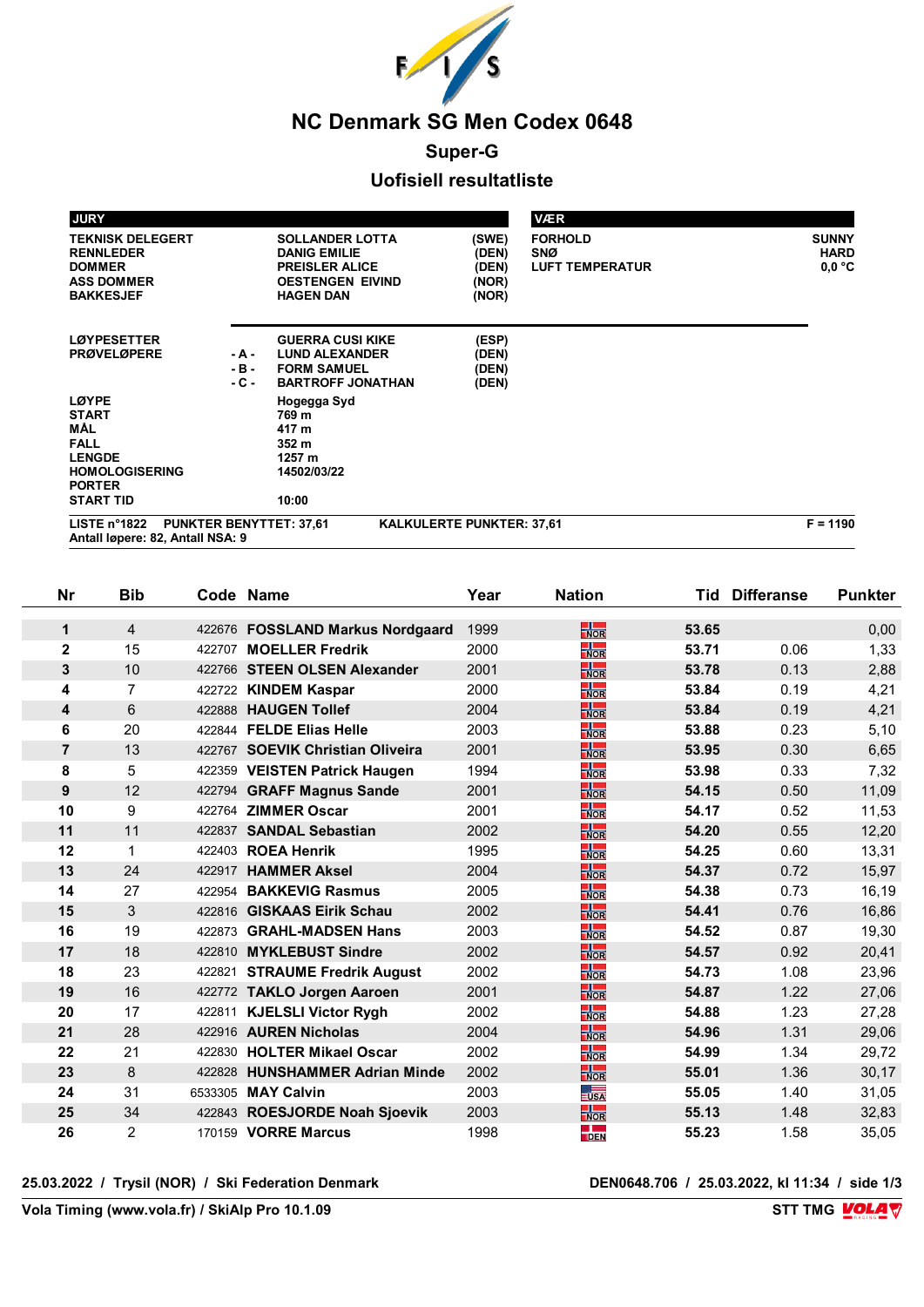

## **Super-G**

# **Uofisiell resultatliste**

|                                       | <b>VÆR</b>                                                                                          |                                                                                                                       |                           | <b>JURY</b>                                                                                           |
|---------------------------------------|-----------------------------------------------------------------------------------------------------|-----------------------------------------------------------------------------------------------------------------------|---------------------------|-------------------------------------------------------------------------------------------------------|
| <b>SUNNY</b><br><b>HARD</b><br>0.0 °C | (SWE)<br><b>FORHOLD</b><br>(DEN)<br><b>SNØ</b><br>(DEN)<br><b>LUFT TEMPERATUR</b><br>(NOR)<br>(NOR) | <b>SOLLANDER LOTTA</b><br><b>DANIG EMILIE</b><br><b>PREISLER ALICE</b><br><b>OESTENGEN EIVIND</b><br><b>HAGEN DAN</b> |                           | <b>TEKNISK DELEGERT</b><br><b>RENNLEDER</b><br><b>DOMMER</b><br><b>ASS DOMMER</b><br><b>BAKKESJEF</b> |
|                                       | (ESP)<br>(DEN)<br>(DEN)<br>(DEN)                                                                    | <b>GUERRA CUSI KIKE</b><br><b>LUND ALEXANDER</b><br><b>FORM SAMUEL</b><br><b>BARTROFF JONATHAN</b>                    | - A -<br>$-B -$<br>$-C -$ | <b>LØYPESETTER</b><br><b>PRØVELØPERE</b>                                                              |
|                                       |                                                                                                     | Hogegga Syd<br>769 m<br>417 m<br>352 m<br>1257 m<br>14502/03/22                                                       |                           | <b>LØYPE</b><br><b>START</b><br>MÅL<br><b>FALL</b><br><b>LENGDE</b><br><b>HOMOLOGISERING</b>          |
|                                       |                                                                                                     | 10:00                                                                                                                 |                           | <b>START TID</b>                                                                                      |
|                                       | <b>KALKULERTE PUNKTER: 37,61</b>                                                                    | <b>PUNKTER BENYTTET: 37,61</b>                                                                                        |                           | <b>PORTER</b><br>LISTE $n^{\circ}1822$<br>Antall Igpere: 82, Antall NSA: 9                            |

| Nr             | <b>Bib</b>     |         | Code Name                        | Year | <b>Nation</b>             |       | <b>Tid Differanse</b> | <b>Punkter</b> |
|----------------|----------------|---------|----------------------------------|------|---------------------------|-------|-----------------------|----------------|
| $\mathbf{1}$   | $\overline{4}$ |         | 422676 FOSSLAND Markus Nordgaard | 1999 | $\frac{1}{NOR}$           | 53.65 |                       | 0,00           |
| $\mathbf{2}$   | 15             | 422707  | <b>MOELLER Fredrik</b>           | 2000 | $\frac{1}{\sqrt{2}}$      | 53.71 | 0.06                  | 1,33           |
| 3              | 10             |         | 422766 STEEN OLSEN Alexander     | 2001 | $\frac{1}{\sqrt{2}}$      | 53.78 | 0.13                  | 2,88           |
| 4              | $\overline{7}$ |         | 422722 KINDEM Kaspar             | 2000 | $\frac{1}{\sqrt{1}}$      | 53.84 | 0.19                  | 4,21           |
| 4              | 6              |         | 422888 HAUGEN Tollef             | 2004 | $\frac{1}{NOR}$           | 53.84 | 0.19                  | 4,21           |
| 6              | 20             |         | 422844 FELDE Elias Helle         | 2003 | $\frac{1}{\sqrt{2}}$      | 53.88 | 0.23                  | 5,10           |
| $\overline{7}$ | 13             |         | 422767 SOEVIK Christian Oliveira | 2001 | $\frac{1}{NOR}$           | 53.95 | 0.30                  | 6,65           |
| 8              | 5              |         | 422359 VEISTEN Patrick Haugen    | 1994 | $\frac{1}{\sqrt{2}}$      | 53.98 | 0.33                  | 7,32           |
| 9              | 12             |         | 422794 GRAFF Magnus Sande        | 2001 | $\frac{1}{NOR}$           | 54.15 | 0.50                  | 11,09          |
| 10             | 9              | 422764  | <b>ZIMMER Oscar</b>              | 2001 | $\frac{1}{\sqrt{1}}$      | 54.17 | 0.52                  | 11,53          |
| 11             | 11             | 422837  | <b>SANDAL Sebastian</b>          | 2002 | $\frac{1}{\sqrt{2}}$      | 54.20 | 0.55                  | 12,20          |
| 12             | 1              | 422403  | <b>ROEA Henrik</b>               | 1995 | $\frac{1}{\sqrt{1}}$      | 54.25 | 0.60                  | 13,31          |
| 13             | 24             | 422917  | <b>HAMMER Aksel</b>              | 2004 | $\frac{1}{NOR}$           | 54.37 | 0.72                  | 15,97          |
| 14             | 27             | 422954  | <b>BAKKEVIG Rasmus</b>           | 2005 | $\frac{1}{\sqrt{2}}$      | 54.38 | 0.73                  | 16,19          |
| 15             | 3              |         | 422816 GISKAAS Eirik Schau       | 2002 | $\frac{1}{NOR}$           | 54.41 | 0.76                  | 16,86          |
| 16             | 19             | 422873  | <b>GRAHL-MADSEN Hans</b>         | 2003 | $\frac{1}{\sqrt{1}}$      | 54.52 | 0.87                  | 19,30          |
| 17             | 18             | 422810  | <b>MYKLEBUST Sindre</b>          | 2002 | $\frac{1}{NOR}$           | 54.57 | 0.92                  | 20,41          |
| 18             | 23             | 422821  | <b>STRAUME Fredrik August</b>    | 2002 | $\frac{1}{\sqrt{1}}$      | 54.73 | 1.08                  | 23,96          |
| 19             | 16             |         | 422772 TAKLO Jorgen Aaroen       | 2001 | $\frac{1}{NOR}$           | 54.87 | 1.22                  | 27,06          |
| 20             | 17             |         | 422811 KJELSLI Victor Rygh       | 2002 | $\frac{1}{\sqrt{2}}$      | 54.88 | 1.23                  | 27,28          |
| 21             | 28             |         | 422916 AUREN Nicholas            | 2004 | $\frac{1}{NOR}$           | 54.96 | 1.31                  | 29,06          |
| 22             | 21             | 422830  | <b>HOLTER Mikael Oscar</b>       | 2002 | $\frac{1}{\sqrt{2}}$      | 54.99 | 1.34                  | 29,72          |
| 23             | 8              | 422828  | <b>HUNSHAMMER Adrian Minde</b>   | 2002 | $\frac{1}{NOR}$           | 55.01 | 1.36                  | 30,17          |
| 24             | 31             | 6533305 | <b>MAY Calvin</b>                | 2003 | $\overline{\mathsf{USA}}$ | 55.05 | 1.40                  | 31,05          |
| 25             | 34             |         | 422843 ROESJORDE Noah Sjoevik    | 2003 | $\frac{1}{\sqrt{2}}$      | 55.13 | 1.48                  | 32,83          |
| 26             | $\overline{2}$ |         | 170159 VORRE Marcus              | 1998 | $\frac{1}{\sqrt{2}}$      | 55.23 | 1.58                  | 35,05          |

**25.03.2022 / Trysil (NOR) / Ski Federation Denmark DEN0648.706 / 25.03.2022, kl 11:34 / side 1/3**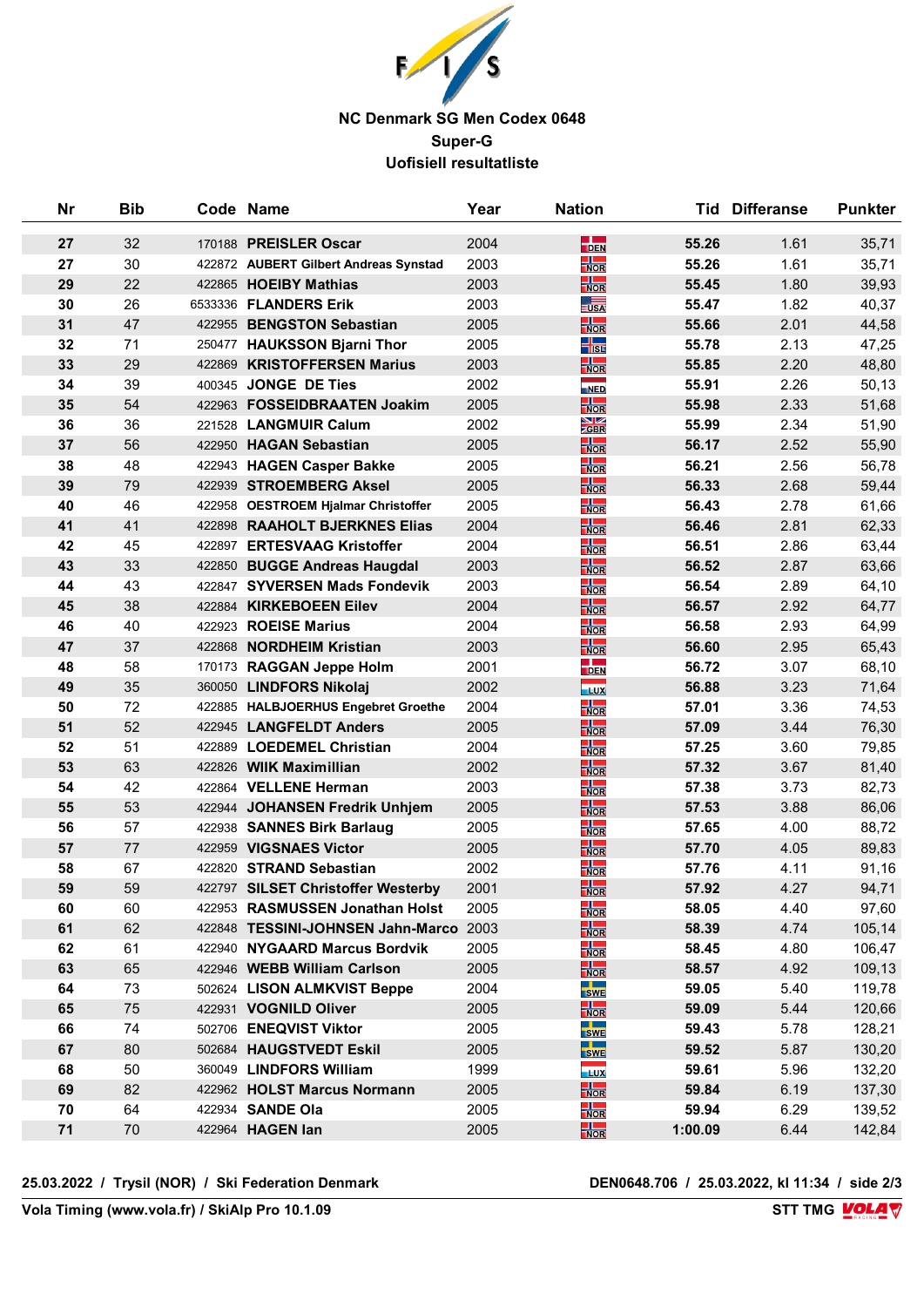

## **NC Denmark SG Men Codex 0648 Super-G Uofisiell resultatliste**

| Nr | <b>Bib</b> |        | Code Name                              | Year | <b>Nation</b>               |         | <b>Tid Differanse</b> | <b>Punkter</b> |
|----|------------|--------|----------------------------------------|------|-----------------------------|---------|-----------------------|----------------|
| 27 | 32         |        | 170188 PREISLER Oscar                  | 2004 | $\frac{1}{\text{DEN}}$      | 55.26   | 1.61                  | 35,71          |
| 27 | 30         |        | 422872 AUBERT Gilbert Andreas Synstad  | 2003 | $\frac{1}{\sqrt{2}}$        | 55.26   | 1.61                  | 35,71          |
| 29 | 22         |        | 422865 HOEIBY Mathias                  | 2003 | $\frac{1}{NOR}$             | 55.45   | 1.80                  | 39,93          |
| 30 | 26         |        | 6533336 FLANDERS Erik                  | 2003 | $\overline{\mathsf{USA}}$   | 55.47   | 1.82                  | 40,37          |
| 31 | 47         |        | 422955 BENGSTON Sebastian              | 2005 | $\frac{1}{NOR}$             | 55.66   | 2.01                  | 44,58          |
| 32 | 71         |        | 250477 HAUKSSON Bjarni Thor            | 2005 | ╬                           | 55.78   | 2.13                  | 47,25          |
| 33 | 29         | 422869 | <b>KRISTOFFERSEN Marius</b>            | 2003 | $\frac{1}{NOR}$             | 55.85   | 2.20                  | 48,80          |
| 34 | 39         |        | 400345 JONGE DE Ties                   | 2002 | NED                         | 55.91   | 2.26                  | 50,13          |
| 35 | 54         |        | 422963 FOSSEIDBRAATEN Joakim           | 2005 | $\frac{1}{NOR}$             | 55.98   | 2.33                  | 51,68          |
| 36 | 36         |        | 221528 LANGMUIR Calum                  | 2002 | $\frac{\text{N}}{\text{Z}}$ | 55.99   | 2.34                  | 51,90          |
| 37 | 56         |        | 422950 HAGAN Sebastian                 | 2005 | $\frac{1}{NOR}$             | 56.17   | 2.52                  | 55,90          |
| 38 | 48         |        | 422943 HAGEN Casper Bakke              | 2005 | $\frac{1}{NOR}$             | 56.21   | 2.56                  | 56,78          |
| 39 | 79         |        | 422939 STROEMBERG Aksel                | 2005 | $\frac{1}{NOR}$             | 56.33   | 2.68                  | 59,44          |
| 40 | 46         |        | 422958 OESTROEM Hjalmar Christoffer    | 2005 | $\frac{1}{\sqrt{2}}$        | 56.43   | 2.78                  | 61,66          |
| 41 | 41         |        | 422898 RAAHOLT BJERKNES Elias          | 2004 | $\frac{1}{NOR}$             | 56.46   | 2.81                  | 62,33          |
| 42 | 45         | 422897 | <b>ERTESVAAG Kristoffer</b>            | 2004 | $\frac{1}{NOR}$             | 56.51   | 2.86                  | 63,44          |
| 43 | 33         |        | 422850 BUGGE Andreas Haugdal           | 2003 | $\frac{1}{NOR}$             | 56.52   | 2.87                  | 63,66          |
| 44 | 43         |        | 422847 SYVERSEN Mads Fondevik          | 2003 | $\frac{1}{NOR}$             | 56.54   | 2.89                  | 64,10          |
| 45 | 38         |        | 422884 KIRKEBOEEN Eilev                | 2004 | $\frac{1}{NOR}$             | 56.57   | 2.92                  | 64,77          |
| 46 | 40         |        | 422923 ROEISE Marius                   | 2004 | $\frac{1}{\sqrt{2}}$        | 56.58   | 2.93                  | 64,99          |
| 47 | 37         |        | 422868 NORDHEIM Kristian               | 2003 | $\frac{1}{\sqrt{2}}$        | 56.60   | 2.95                  | 65,43          |
| 48 | 58         |        | 170173 RAGGAN Jeppe Holm               | 2001 | $\frac{1}{\text{DEN}}$      | 56.72   | 3.07                  | 68,10          |
| 49 | 35         |        | 360050 LINDFORS Nikolaj                | 2002 | <b>TLUX</b>                 | 56.88   | 3.23                  | 71,64          |
| 50 | 72         |        | 422885 HALBJOERHUS Engebret Groethe    | 2004 | $\frac{1}{NOR}$             | 57.01   | 3.36                  | 74,53          |
| 51 | 52         |        | 422945 LANGFELDT Anders                | 2005 | $\frac{1}{NOR}$             | 57.09   | 3.44                  | 76,30          |
| 52 | 51         |        | 422889 LOEDEMEL Christian              | 2004 | $\frac{1}{\sqrt{2}}$        | 57.25   | 3.60                  | 79,85          |
| 53 | 63         |        | 422826 WIIK Maximillian                | 2002 | $\frac{1}{NOR}$             | 57.32   | 3.67                  | 81,40          |
| 54 | 42         |        | 422864 VELLENE Herman                  | 2003 | $\frac{1}{NOR}$             | 57.38   | 3.73                  | 82,73          |
| 55 | 53         |        | 422944 JOHANSEN Fredrik Unhjem         | 2005 | $\frac{1}{NOR}$             | 57.53   | 3.88                  | 86,06          |
| 56 | 57         |        | 422938 SANNES Birk Barlaug             | 2005 | $\frac{1}{\sqrt{2}}$        | 57.65   | 4.00                  | 88,72          |
| 57 | 77         |        | 422959 VIGSNAES Victor                 | 2005 | $\frac{1}{NOR}$             | 57.70   | 4.05                  | 89,83          |
| 58 | 67         |        | 422820 STRAND Sebastian                | 2002 | $\frac{1}{\sqrt{2}}$        | 57.76   | 4.11                  | 91,16          |
| 59 | 59         |        | 422797 SILSET Christoffer Westerby     | 2001 | $\frac{1}{\sqrt{N}}$        | 57.92   | 4.27                  | 94,71          |
| 60 | 60         |        | 422953 RASMUSSEN Jonathan Holst        | 2005 | $\frac{1}{NOR}$             | 58.05   | 4.40                  | 97,60          |
| 61 | 62         |        | 422848 TESSINI-JOHNSEN Jahn-Marco 2003 |      | $\frac{1}{\sqrt{2}}$        | 58.39   | 4.74                  | 105,14         |
| 62 | 61         |        | 422940 NYGAARD Marcus Bordvik          | 2005 | $\frac{1}{\sqrt{2}}$        | 58.45   | 4.80                  | 106,47         |
| 63 | 65         |        | 422946 WEBB William Carlson            | 2005 | $\frac{1}{NOR}$             | 58.57   | 4.92                  | 109,13         |
| 64 | 73         |        | 502624 LISON ALMKVIST Beppe            | 2004 | SWE                         | 59.05   | 5.40                  | 119,78         |
| 65 | 75         |        | 422931 VOGNILD Oliver                  | 2005 | $\frac{1}{NOR}$             | 59.09   | 5.44                  | 120,66         |
| 66 | 74         |        | 502706 ENEQVIST Viktor                 | 2005 | SWE                         | 59.43   | 5.78                  | 128,21         |
| 67 | 80         |        | 502684 HAUGSTVEDT Eskil                | 2005 | SWE                         | 59.52   | 5.87                  | 130,20         |
| 68 | 50         |        | 360049 LINDFORS William                | 1999 | $-LUX$                      | 59.61   | 5.96                  | 132,20         |
| 69 | 82         |        | 422962 HOLST Marcus Normann            | 2005 | $\frac{1}{NOR}$             | 59.84   | 6.19                  | 137,30         |
| 70 | 64         |        | 422934 SANDE Ola                       | 2005 | $\frac{1}{\sqrt{2}}$        | 59.94   | 6.29                  | 139,52         |
| 71 | $70$       |        | 422964 HAGEN lan                       | 2005 | $\frac{1}{NOR}$             | 1:00.09 | 6.44                  | 142,84         |

**25.03.2022 / Trysil (NOR) / Ski Federation Denmark DEN0648.706 / 25.03.2022, kl 11:34 / side 2/3**